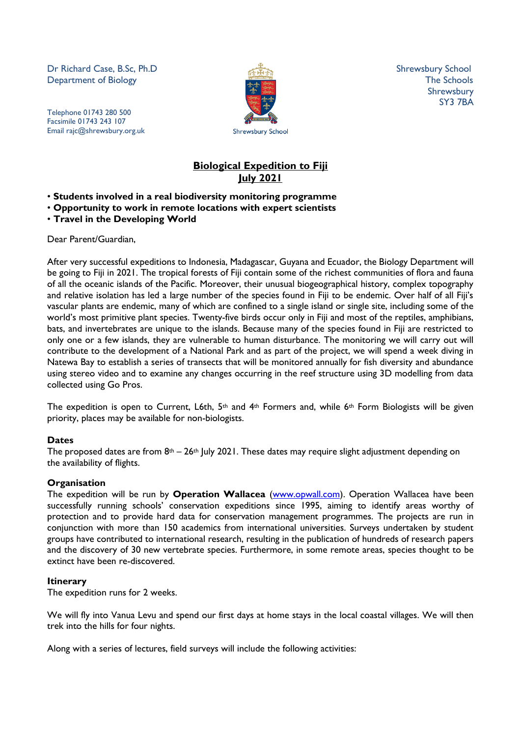Dr Richard Case, B.Sc, Ph.D Shrewsbury School Shrewsbury School **Department of Biology** The Schools **The Schools** 

Telephone 01743 280 500 Facsimile 01743 243 107 Email rajc@shrewsbury.org.uk



Shrewsbury SY3 7BA

# **Biological Expedition to Fiji July 2021**

- **Students involved in a real biodiversity monitoring programme**
- **Opportunity to work in remote locations with expert scientists**
- **Travel in the Developing World**

Dear Parent/Guardian,

After very successful expeditions to Indonesia, Madagascar, Guyana and Ecuador, the Biology Department will be going to Fiji in 2021. The tropical forests of Fiji contain some of the richest communities of flora and fauna of all the oceanic islands of the Pacific. Moreover, their unusual biogeographical history, complex topography and relative isolation has led a large number of the species found in Fiji to be endemic. Over half of all Fiji's vascular plants are endemic, many of which are confined to a single island or single site, including some of the world's most primitive plant species. Twenty-five birds occur only in Fiji and most of the reptiles, amphibians, bats, and invertebrates are unique to the islands. Because many of the species found in Fiji are restricted to only one or a few islands, they are vulnerable to human disturbance. The monitoring we will carry out will contribute to the development of a National Park and as part of the project, we will spend a week diving in Natewa Bay to establish a series of transects that will be monitored annually for fish diversity and abundance using stereo video and to examine any changes occurring in the reef structure using 3D modelling from data collected using Go Pros.

The expedition is open to Current, L6th, 5<sup>th</sup> and 4<sup>th</sup> Formers and, while 6<sup>th</sup> Form Biologists will be given priority, places may be available for non-biologists.

#### **Dates**

The proposed dates are from  $8<sup>th</sup> - 26<sup>th</sup>$  July 2021. These dates may require slight adjustment depending on the availability of flights.

#### **Organisation**

The expedition will be run by **Operation Wallacea** [\(www.opwall.com\)](http://www.opwall.com/). Operation Wallacea have been successfully running schools' conservation expeditions since 1995, aiming to identify areas worthy of protection and to provide hard data for conservation management programmes. The projects are run in conjunction with more than 150 academics from international universities. Surveys undertaken by student groups have contributed to international research, resulting in the publication of hundreds of research papers and the discovery of 30 new vertebrate species. Furthermore, in some remote areas, species thought to be extinct have been re-discovered.

#### **Itinerary**

The expedition runs for 2 weeks.

We will fly into Vanua Levu and spend our first days at home stays in the local coastal villages. We will then trek into the hills for four nights.

Along with a series of lectures, field surveys will include the following activities: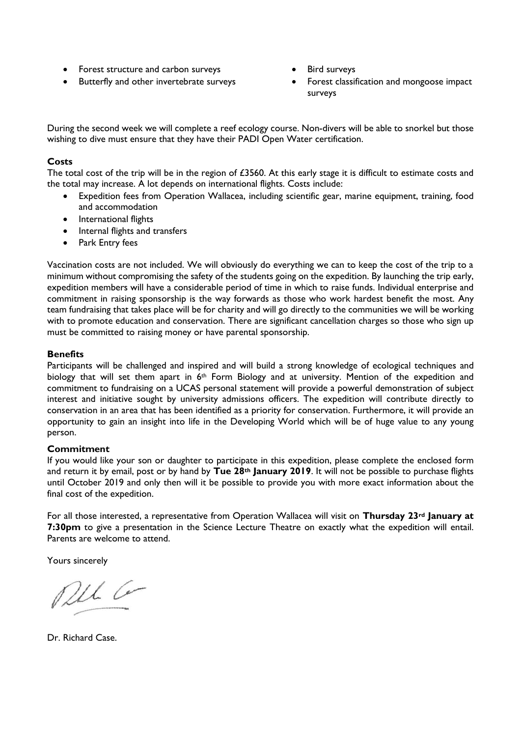- Forest structure and carbon surveys
- Butterfly and other invertebrate surveys
- Bird surveys
- Forest classification and mongoose impact surveys

During the second week we will complete a reef ecology course. Non-divers will be able to snorkel but those wishing to dive must ensure that they have their PADI Open Water certification.

### **Costs**

The total cost of the trip will be in the region of  $£3560$ . At this early stage it is difficult to estimate costs and the total may increase. A lot depends on international flights. Costs include:

- Expedition fees from Operation Wallacea, including scientific gear, marine equipment, training, food and accommodation
- International flights
- Internal flights and transfers
- Park Entry fees

Vaccination costs are not included. We will obviously do everything we can to keep the cost of the trip to a minimum without compromising the safety of the students going on the expedition. By launching the trip early, expedition members will have a considerable period of time in which to raise funds. Individual enterprise and commitment in raising sponsorship is the way forwards as those who work hardest benefit the most. Any team fundraising that takes place will be for charity and will go directly to the communities we will be working with to promote education and conservation. There are significant cancellation charges so those who sign up must be committed to raising money or have parental sponsorship.

#### **Benefits**

Participants will be challenged and inspired and will build a strong knowledge of ecological techniques and biology that will set them apart in 6<sup>th</sup> Form Biology and at university. Mention of the expedition and commitment to fundraising on a UCAS personal statement will provide a powerful demonstration of subject interest and initiative sought by university admissions officers. The expedition will contribute directly to conservation in an area that has been identified as a priority for conservation. Furthermore, it will provide an opportunity to gain an insight into life in the Developing World which will be of huge value to any young person.

#### **Commitment**

If you would like your son or daughter to participate in this expedition, please complete the enclosed form and return it by email, post or by hand by **Tue 28th January 2019**. It will not be possible to purchase flights until October 2019 and only then will it be possible to provide you with more exact information about the final cost of the expedition.

For all those interested, a representative from Operation Wallacea will visit on **Thursday 23rd January at 7:30pm** to give a presentation in the Science Lecture Theatre on exactly what the expedition will entail. Parents are welcome to attend.

Yours sincerely

Pel Co

Dr. Richard Case.